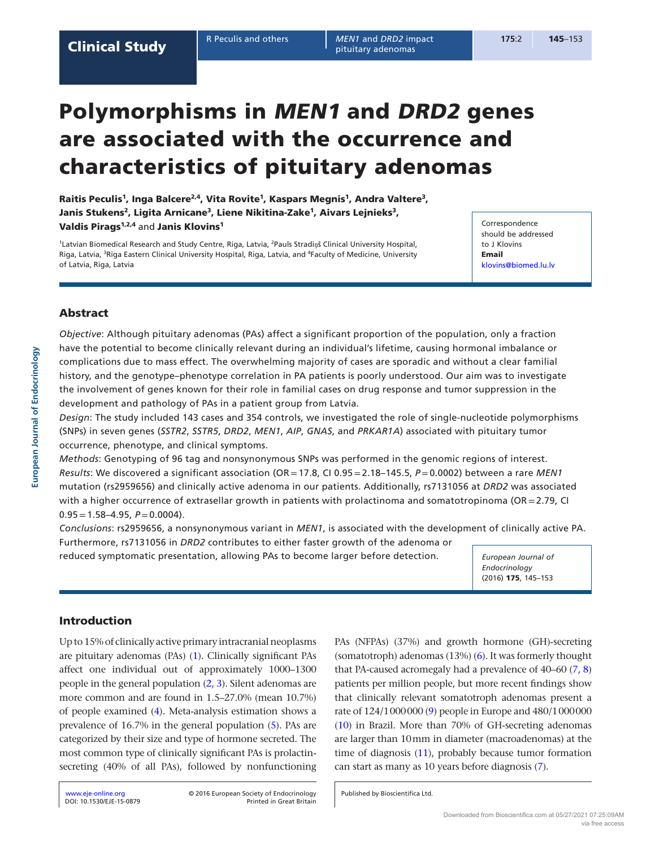R Peculis and others *MEN1* and *DRD2* impact **175**:2 145–153 pituitary adenomas

# Polymorphisms in MEN1 and DRD2 genes are associated with the occurrence and characteristics of pituitary adenomas

Raitis Peculis<sup>1</sup>, Inga Balcere<sup>2,4</sup>, Vita Rovite<sup>1</sup>, Kaspars Megnis<sup>1</sup>, Andra Valtere<sup>3</sup>, Janis Stukens<sup>2</sup>, Ligita Arnicane<sup>3</sup>, Liene Nikitina-Zake<sup>1</sup>, Aivars Lejnieks<sup>3</sup>, Valdis Pirags<sup>1,2,4</sup> and Janis Klovins<sup>1</sup>

1Latvian Biomedical Research and Study Centre, Riga, Latvia, 2Pauls Stradiņš Clinical University Hospital, Riga, Latvia, <sup>3</sup>Riga Eastern Clinical University Hospital, Riga, Latvia, and <sup>4</sup>Faculty of Medicine, University of Latvia, Riga, Latvia

**Correspondence** should be addressed to J Klovins Email [klovins@biomed.lu.lv](mailto:klovins@biomed.lu.lv)

# Abstract

*Objective*: Although pituitary adenomas (PAs) affect a significant proportion of the population, only a fraction have the potential to become clinically relevant during an individual's lifetime, causing hormonal imbalance or complications due to mass effect. The overwhelming majority of cases are sporadic and without a clear familial history, and the genotype–phenotype correlation in PA patients is poorly understood. Our aim was to investigate the involvement of genes known for their role in familial cases on drug response and tumor suppression in the development and pathology of PAs in a patient group from Latvia.

*Design*: The study included 143 cases and 354 controls, we investigated the role of single-nucleotide polymorphisms (SNPs) in seven genes (*SSTR2*, *SSTR5*, *DRD2*, *MEN1*, *AIP*, *GNAS*, and *PRKAR1A*) associated with pituitary tumor occurrence, phenotype, and clinical symptoms.

*Methods*: Genotyping of 96 tag and nonsynonymous SNPs was performed in the genomic regions of interest. *Results*: We discovered a significant association (OR=17.8, CI 0.95=2.18–145.5, *P*=0.0002) between a rare *MEN1* mutation (rs2959656) and clinically active adenoma in our patients. Additionally, rs7131056 at *DRD2* was associated with a higher occurrence of extrasellar growth in patients with prolactinoma and somatotropinoma (OR=2.79, CI  $0.95 = 1.58 - 4.95$ ,  $P = 0.0004$ ).

*Conclusions*: rs2959656, a nonsynonymous variant in *MEN1*, is associated with the development of clinically active PA. Furthermore, rs7131056 in *DRD2* contributes to either faster growth of the adenoma or

reduced symptomatic presentation, allowing PAs to become larger before detection.

*European Journal of Endocrinology*  (2016) 175, 145–153

# Introduction

Up to 15% of clinically active primary intracranial neoplasms are pituitary adenomas (PAs) [\(1](#page-6-0)). Clinically significant PAs affect one individual out of approximately 1000–1300 people in the general population [\(2](#page-6-1), [3\)](#page-6-2). Silent adenomas are more common and are found in 1.5–27.0% (mean 10.7%) of people examined [\(4](#page-6-3)). Meta-analysis estimation shows a prevalence of 16.7% in the general population [\(5](#page-6-4)). PAs are categorized by their size and type of hormone secreted. The most common type of clinically significant PAs is prolactinsecreting (40% of all PAs), followed by nonfunctioning PAs (NFPAs) (37%) and growth hormone (GH)-secreting (somatotroph) adenomas (13%) [\(6](#page-7-0)). It was formerly thought that PA-caused acromegaly had a prevalence of 40–60 [\(7](#page-7-1), [8](#page-7-2)) patients per million people, but more recent findings show that clinically relevant somatotroph adenomas present a rate of 124/1000000 [\(9](#page-7-3)) people in Europe and 480/1000000 [\(10](#page-7-4)) in Brazil. More than 70% of GH-secreting adenomas are larger than 10mm in diameter (macroadenomas) at the time of diagnosis  $(11)$  $(11)$ , probably because tumor formation can start as many as 10 years before diagnosis [\(7](#page-7-1)).

Published by Bioscientifica Ltd.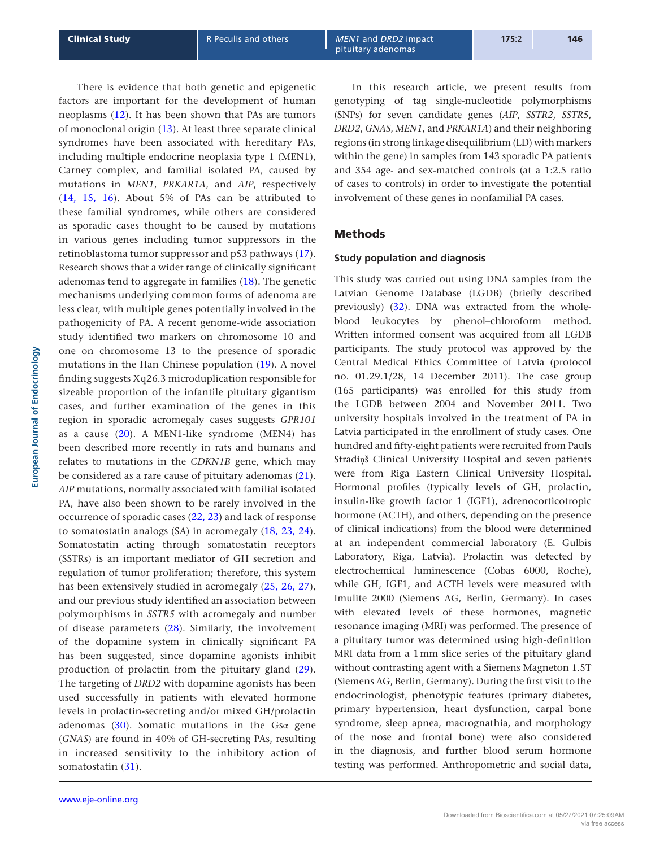There is evidence that both genetic and epigenetic

factors are important for the development of human neoplasms ([12](#page-7-6)). It has been shown that PAs are tumors of monoclonal origin [\(13\)](#page-7-7). At least three separate clinical syndromes have been associated with hereditary PAs, including multiple endocrine neoplasia type 1 (MEN1), Carney complex, and familial isolated PA, caused by mutations in *MEN1*, *PRKAR1A*, and *AIP*, respectively [\(14,](#page-7-8) [15,](#page-7-9) [16](#page-7-10)). About 5% of PAs can be attributed to these familial syndromes, while others are considered as sporadic cases thought to be caused by mutations in various genes including tumor suppressors in the retinoblastoma tumor suppressor and p53 pathways ([17](#page-7-11)). Research shows that a wider range of clinically significant adenomas tend to aggregate in families ([18](#page-7-12)). The genetic mechanisms underlying common forms of adenoma are less clear, with multiple genes potentially involved in the pathogenicity of PA. A recent genome-wide association study identified two markers on chromosome 10 and one on chromosome 13 to the presence of sporadic mutations in the Han Chinese population [\(19\)](#page-7-13). A novel finding suggests Xq26.3 microduplication responsible for sizeable proportion of the infantile pituitary gigantism cases, and further examination of the genes in this region in sporadic acromegaly cases suggests *GPR101* as a cause ([20](#page-7-14)). A MEN1-like syndrome (MEN4) has been described more recently in rats and humans and relates to mutations in the *CDKN1B* gene, which may be considered as a rare cause of pituitary adenomas ([21](#page-7-15)). *AIP* mutations, normally associated with familial isolated PA, have also been shown to be rarely involved in the occurrence of sporadic cases [\(22,](#page-7-16) [23](#page-7-17)) and lack of response to somatostatin analogs (SA) in acromegaly [\(18,](#page-7-12) [23,](#page-7-17) [24](#page-7-18)). Somatostatin acting through somatostatin receptors (SSTRs) is an important mediator of GH secretion and regulation of tumor proliferation; therefore, this system has been extensively studied in acromegaly [\(25,](#page-7-19) [26,](#page-7-20) [27](#page-7-21)), and our previous study identified an association between polymorphisms in *SSTR5* with acromegaly and number of disease parameters [\(28\)](#page-7-22). Similarly, the involvement of the dopamine system in clinically significant PA has been suggested, since dopamine agonists inhibit production of prolactin from the pituitary gland ([29](#page-7-23)). The targeting of *DRD2* with dopamine agonists has been used successfully in patients with elevated hormone levels in prolactin-secreting and/or mixed GH/prolactin adenomas [\(30\)](#page-7-24). Somatic mutations in the Gs $\alpha$  gene (*GNAS*) are found in 40% of GH-secreting PAs, resulting in increased sensitivity to the inhibitory action of somatostatin [\(31\)](#page-7-25).

In this research article, we present results from genotyping of tag single-nucleotide polymorphisms (SNPs) for seven candidate genes (*AIP*, *SSTR2*, *SSTR5*, *DRD2*, *GNAS*, *MEN1*, and *PRKAR1A*) and their neighboring regions (in strong linkage disequilibrium (LD) with markers within the gene) in samples from 143 sporadic PA patients and 354 age- and sex-matched controls (at a 1:2.5 ratio of cases to controls) in order to investigate the potential involvement of these genes in nonfamilial PA cases.

# Methods

#### **Study population and diagnosis**

This study was carried out using DNA samples from the Latvian Genome Database (LGDB) (briefly described previously) [\(32\)](#page-7-26). DNA was extracted from the wholeblood leukocytes by phenol–chloroform method. Written informed consent was acquired from all LGDB participants. The study protocol was approved by the Central Medical Ethics Committee of Latvia (protocol no. 01.29.1/28, 14 December 2011). The case group (165 participants) was enrolled for this study from the LGDB between 2004 and November 2011. Two university hospitals involved in the treatment of PA in Latvia participated in the enrollment of study cases. One hundred and fifty-eight patients were recruited from Pauls Stradiņš Clinical University Hospital and seven patients were from Riga Eastern Clinical University Hospital. Hormonal profiles (typically levels of GH, prolactin, insulin-like growth factor 1 (IGF1), adrenocorticotropic hormone (ACTH), and others, depending on the presence of clinical indications) from the blood were determined at an independent commercial laboratory (E. Gulbis Laboratory, Riga, Latvia). Prolactin was detected by electrochemical luminescence (Cobas 6000, Roche), while GH, IGF1, and ACTH levels were measured with Imulite 2000 (Siemens AG, Berlin, Germany). In cases with elevated levels of these hormones, magnetic resonance imaging (MRI) was performed. The presence of a pituitary tumor was determined using high-definition MRI data from a 1mm slice series of the pituitary gland without contrasting agent with a Siemens Magneton 1.5T (Siemens AG, Berlin, Germany). During the first visit to the endocrinologist, phenotypic features (primary diabetes, primary hypertension, heart dysfunction, carpal bone syndrome, sleep apnea, macrognathia, and morphology of the nose and frontal bone) were also considered in the diagnosis, and further blood serum hormone testing was performed. Anthropometric and social data,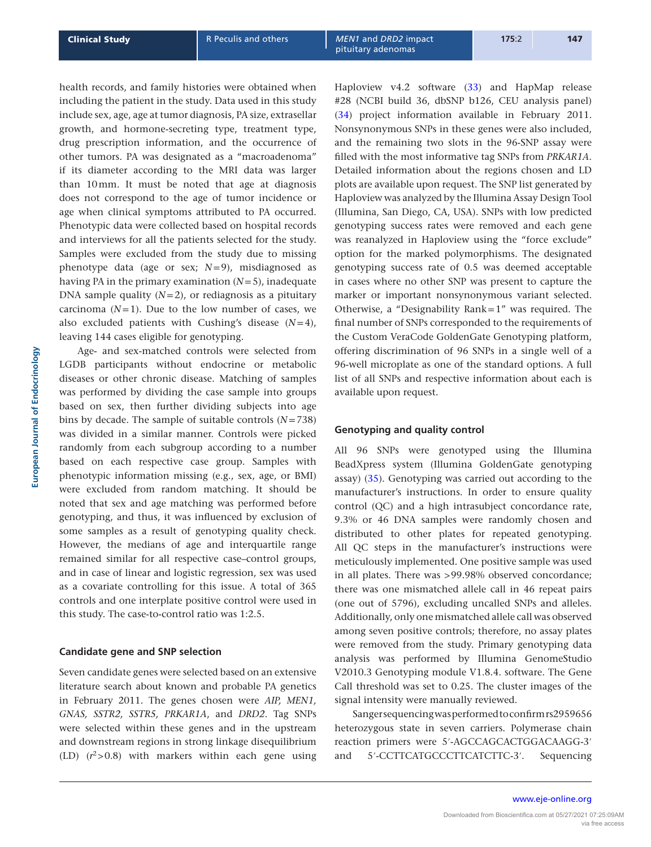health records, and family histories were obtained when including the patient in the study. Data used in this study include sex, age, age at tumor diagnosis, PA size, extrasellar growth, and hormone-secreting type, treatment type, drug prescription information, and the occurrence of other tumors. PA was designated as a "macroadenoma" if its diameter according to the MRI data was larger than 10mm. It must be noted that age at diagnosis does not correspond to the age of tumor incidence or age when clinical symptoms attributed to PA occurred. Phenotypic data were collected based on hospital records and interviews for all the patients selected for the study. Samples were excluded from the study due to missing phenotype data (age or sex; *N*=9), misdiagnosed as having PA in the primary examination (*N*=5), inadequate DNA sample quality  $(N=2)$ , or rediagnosis as a pituitary carcinoma  $(N=1)$ . Due to the low number of cases, we also excluded patients with Cushing's disease (*N*=4), leaving 144 cases eligible for genotyping.

Age- and sex-matched controls were selected from LGDB participants without endocrine or metabolic diseases or other chronic disease. Matching of samples was performed by dividing the case sample into groups based on sex, then further dividing subjects into age bins by decade. The sample of suitable controls (*N*=738) was divided in a similar manner. Controls were picked randomly from each subgroup according to a number based on each respective case group. Samples with phenotypic information missing (e.g., sex, age, or BMI) were excluded from random matching. It should be noted that sex and age matching was performed before genotyping, and thus, it was influenced by exclusion of some samples as a result of genotyping quality check. However, the medians of age and interquartile range remained similar for all respective case–control groups, and in case of linear and logistic regression, sex was used as a covariate controlling for this issue. A total of 365 controls and one interplate positive control were used in this study. The case-to-control ratio was 1:2.5.

#### **Candidate gene and SNP selection**

Seven candidate genes were selected based on an extensive literature search about known and probable PA genetics in February 2011. The genes chosen were *AIP, MEN1, GNAS, SSTR2, SSTR5, PRKAR1A*, and *DRD2*. Tag SNPs were selected within these genes and in the upstream and downstream regions in strong linkage disequilibrium (LD)  $(r^2 > 0.8)$  with markers within each gene using Haploview v4.2 software ([33\)](#page-7-27) and HapMap release #28 (NCBI build 36, dbSNP b126, CEU analysis panel) ([34\)](#page-7-28) project information available in February 2011. Nonsynonymous SNPs in these genes were also included, and the remaining two slots in the 96-SNP assay were filled with the most informative tag SNPs from *PRKAR1A*. Detailed information about the regions chosen and LD plots are available upon request. The SNP list generated by Haploview was analyzed by the Illumina Assay Design Tool (Illumina, San Diego, CA, USA). SNPs with low predicted genotyping success rates were removed and each gene was reanalyzed in Haploview using the "force exclude" option for the marked polymorphisms. The designated genotyping success rate of 0.5 was deemed acceptable in cases where no other SNP was present to capture the marker or important nonsynonymous variant selected. Otherwise, a "Designability Rank=1" was required. The final number of SNPs corresponded to the requirements of the Custom VeraCode GoldenGate Genotyping platform, offering discrimination of 96 SNPs in a single well of a 96-well microplate as one of the standard options. A full list of all SNPs and respective information about each is available upon request.

## **Genotyping and quality control**

All 96 SNPs were genotyped using the Illumina BeadXpress system (Illumina GoldenGate genotyping assay) [\(35\)](#page-7-29). Genotyping was carried out according to the manufacturer's instructions. In order to ensure quality control (QC) and a high intrasubject concordance rate, 9.3% or 46 DNA samples were randomly chosen and distributed to other plates for repeated genotyping. All QC steps in the manufacturer's instructions were meticulously implemented. One positive sample was used in all plates. There was >99.98% observed concordance; there was one mismatched allele call in 46 repeat pairs (one out of 5796), excluding uncalled SNPs and alleles. Additionally, only one mismatched allele call was observed among seven positive controls; therefore, no assay plates were removed from the study. Primary genotyping data analysis was performed by Illumina GenomeStudio V2010.3 Genotyping module V1.8.4. software. The Gene Call threshold was set to 0.25. The cluster images of the signal intensity were manually reviewed.

Sanger sequencing was performed to confirm rs2959656 heterozygous state in seven carriers. Polymerase chain reaction primers were 5′-AGCCAGCACTGGACAAGG-3′ and 5′-CCTTCATGCCCTTCATCTTC-3′. Sequencing

**European Journal of Endocrinology**

European Journal of Endocrinology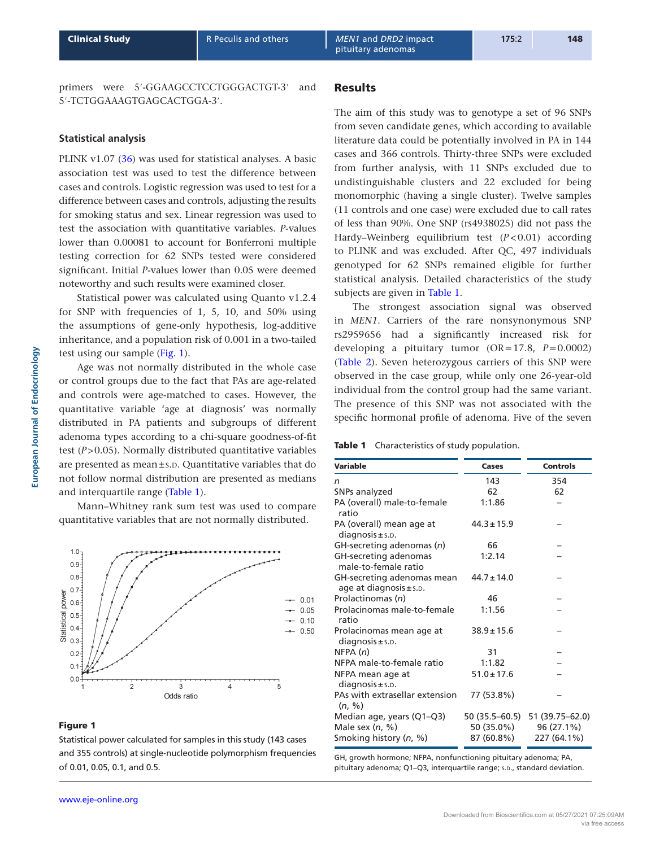<span id="page-3-0"></span>primers were 5′-GGAAGCCTCCTGGGACTGT-3′ and 5′-TCTGGAAAGTGAGCACTGGA-3′.

# **Statistical analysis**

PLINK v1.07 ([36\)](#page-7-30) was used for statistical analyses. A basic association test was used to test the difference between cases and controls. Logistic regression was used to test for a difference between cases and controls, adjusting the results for smoking status and sex. Linear regression was used to test the association with quantitative variables. *P*-values lower than 0.00081 to account for Bonferroni multiple testing correction for 62 SNPs tested were considered significant. Initial *P*-values lower than 0.05 were deemed noteworthy and such results were examined closer.

Statistical power was calculated using Quanto v1.2.4 for SNP with frequencies of 1, 5, 10, and 50% using the assumptions of gene-only hypothesis, log-additive inheritance, and a population risk of 0.001 in a two-tailed test using our sample (Fig. 1).

Age was not normally distributed in the whole case or control groups due to the fact that PAs are age-related and controls were age-matched to cases. However, the quantitative variable 'age at diagnosis' was normally distributed in PA patients and subgroups of different adenoma types according to a chi-square goodness-of-fit test (*P*>0.05). Normally distributed quantitative variables are presented as mean $\pm$ s.<sub>D</sub>. Quantitative variables that do not follow normal distribution are presented as medians and interquartile range (Table 1).

Mann–Whitney rank sum test was used to compare quantitative variables that are not normally distributed.



# Figure 1

Statistical power calculated for samples in this study (143 cases and 355 controls) at single-nucleotide polymorphism frequencies of 0.01, 0.05, 0.1, and 0.5.

# Results

The aim of this study was to genotype a set of 96 SNPs from seven candidate genes, which according to available literature data could be potentially involved in PA in 144 cases and 366 controls. Thirty-three SNPs were excluded from further analysis, with 11 SNPs excluded due to undistinguishable clusters and 22 excluded for being monomorphic (having a single cluster). Twelve samples (11 controls and one case) were excluded due to call rates of less than 90%. One SNP (rs4938025) did not pass the Hardy–Weinberg equilibrium test (*P*<0.01) according to PLINK and was excluded. After QC, 497 individuals genotyped for 62 SNPs remained eligible for further statistical analysis. Detailed characteristics of the study subjects are given in Table 1.

The strongest association signal was observed in *MEN1*. Carriers of the rare nonsynonymous SNP rs2959656 had a significantly increased risk for developing a pituitary tumor (OR=17.8, *P*=0.0002) [\(Table 2\)](#page-4-0). Seven heterozygous carriers of this SNP were observed in the case group, while only one 26-year-old individual from the control group had the same variant. The presence of this SNP was not associated with the specific hormonal profile of adenoma. Five of the seven

#### Table 1 Characteristics of study population.

| Variable                                                  | Cases           | <b>Controls</b>   |
|-----------------------------------------------------------|-----------------|-------------------|
| n                                                         | 143             | 354               |
| SNPs analyzed                                             | 62              | 62                |
| PA (overall) male-to-female<br>ratio                      | 1:1.86          |                   |
| PA (overall) mean age at<br>$diagnosis \pm s.p.$          | $44.3 \pm 15.9$ |                   |
| GH-secreting adenomas (n)                                 | 66              |                   |
| GH-secreting adenomas<br>male-to-female ratio             | 1:2.14          |                   |
| GH-secreting adenomas mean<br>age at diagnosis $\pm$ s.D. | $44.7 \pm 14.0$ |                   |
| Prolactinomas (n)                                         | 46              |                   |
| Prolacinomas male-to-female<br>ratio                      | 1:1.56          |                   |
| Prolacinomas mean age at<br>$diagonosis \pm s.p.$         | $38.9 \pm 15.6$ |                   |
| NFPA(n)                                                   | 31              |                   |
| NFPA male-to-female ratio                                 | 1:1.82          |                   |
| NFPA mean age at<br>$diagnosis \pm s.p.$                  | $51.0 \pm 17.6$ |                   |
| PAs with extrasellar extension<br>(n, %)                  | 77 (53.8%)      |                   |
| Median age, years (Q1-Q3)                                 | 50 (35.5–60.5)  | 51 (39.75 - 62.0) |
| Male sex $(n, %)$                                         | 50 (35.0%)      | 96 (27.1%)        |
| Smoking history (n, %)                                    | 87 (60.8%)      | 227 (64.1%)       |

GH, growth hormone; NFPA, nonfunctioning pituitary adenoma; PA, pituitary adenoma; Q1-Q3, interquartile range; s.D., standard deviation.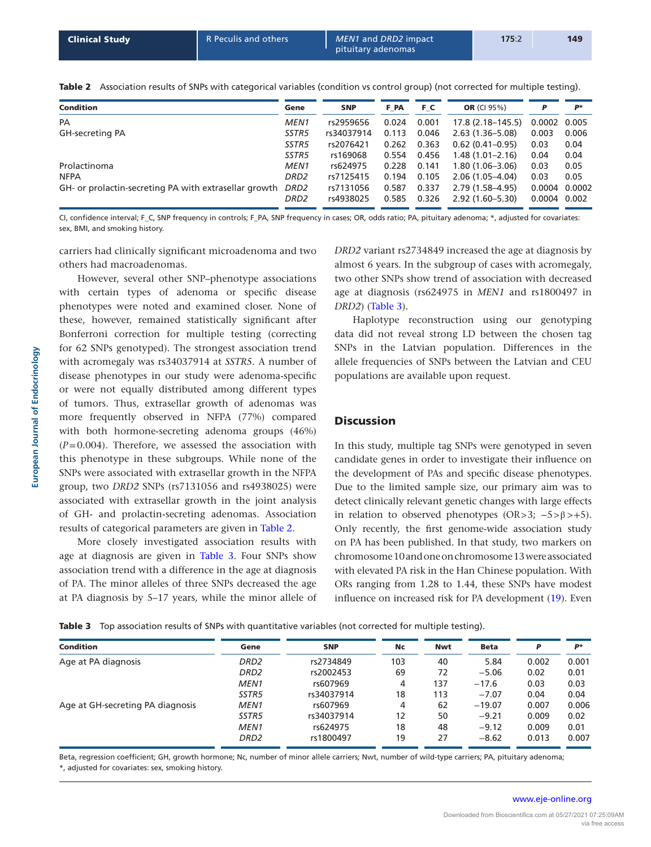| <b>Condition</b>                                      | Gene             | <b>SNP</b> | F PA  | FС    | <b>OR</b> (CI 95%)   | P      | P*     |
|-------------------------------------------------------|------------------|------------|-------|-------|----------------------|--------|--------|
| <b>PA</b>                                             | <b>MEN1</b>      | rs2959656  | 0.024 | 0.001 | $17.8(2.18 - 145.5)$ | 0.0002 | 0.005  |
| GH-secreting PA                                       | SSTR5            | rs34037914 | 0.113 | 0.046 | $2.63(1.36 - 5.08)$  | 0.003  | 0.006  |
|                                                       | SSTR5            | rs2076421  | 0.262 | 0.363 | $0.62(0.41-0.95)$    | 0.03   | 0.04   |
|                                                       | SSTR5            | rs169068   | 0.554 | 0.456 | $1.48(1.01 - 2.16)$  | 0.04   | 0.04   |
| Prolactinoma                                          | <b>MEN1</b>      | rs624975   | 0.228 | 0.141 | $1.80(1.06 - 3.06)$  | 0.03   | 0.05   |
| <b>NFPA</b>                                           | DRD2             | rs7125415  | 0.194 | 0.105 | $2.06(1.05 - 4.04)$  | 0.03   | 0.05   |
| GH- or prolactin-secreting PA with extrasellar growth | DRD2             | rs7131056  | 0.587 | 0.337 | 2.79 (1.58–4.95)     | 0.0004 | 0.0002 |
|                                                       | DRD <sub>2</sub> | rs4938025  | 0.585 | 0.326 | $2.92(1.60 - 5.30)$  | 0.0004 | 0.002  |

<span id="page-4-0"></span>Table 2 Association results of SNPs with categorical variables (condition vs control group) (not corrected for multiple testing).

CI, confidence interval; F\_C, SNP frequency in controls; F\_PA, SNP frequency in cases; OR, odds ratio; PA, pituitary adenoma; \*, adjusted for covariates: sex, BMI, and smoking history.

carriers had clinically significant microadenoma and two others had macroadenomas.

However, several other SNP–phenotype associations with certain types of adenoma or specific disease phenotypes were noted and examined closer. None of these, however, remained statistically significant after Bonferroni correction for multiple testing (correcting for 62 SNPs genotyped). The strongest association trend with acromegaly was rs34037914 at *SSTR5*. A number of disease phenotypes in our study were adenoma-specific or were not equally distributed among different types of tumors. Thus, extrasellar growth of adenomas was more frequently observed in NFPA (77%) compared with both hormone-secreting adenoma groups (46%)  $(P=0.004)$ . Therefore, we assessed the association with this phenotype in these subgroups. While none of the SNPs were associated with extrasellar growth in the NFPA group, two *DRD2* SNPs (rs7131056 and rs4938025) were associated with extrasellar growth in the joint analysis of GH- and prolactin-secreting adenomas. Association results of categorical parameters are given in Table 2.

More closely investigated association results with age at diagnosis are given in Table 3. Four SNPs show association trend with a difference in the age at diagnosis of PA. The minor alleles of three SNPs decreased the age at PA diagnosis by 5–17 years, while the minor allele of *DRD2* variant rs2734849 increased the age at diagnosis by almost 6 years. In the subgroup of cases with acromegaly, two other SNPs show trend of association with decreased age at diagnosis (rs624975 in *MEN1* and rs1800497 in *DRD2*) (Table 3).

Haplotype reconstruction using our genotyping data did not reveal strong LD between the chosen tag SNPs in the Latvian population. Differences in the allele frequencies of SNPs between the Latvian and CEU populations are available upon request.

## **Discussion**

In this study, multiple tag SNPs were genotyped in seven candidate genes in order to investigate their influence on the development of PAs and specific disease phenotypes. Due to the limited sample size, our primary aim was to detect clinically relevant genetic changes with large effects in relation to observed phenotypes (OR>3;  $-5>β$ >+5). Only recently, the first genome-wide association study on PA has been published. In that study, two markers on chromosome 10 and one on chromosome 13 were associated with elevated PA risk in the Han Chinese population. With ORs ranging from 1.28 to 1.44, these SNPs have modest influence on increased risk for PA development [\(19](#page-7-13)). Even

Table 3 Top association results of SNPs with quantitative variables (not corrected for multiple testing).

| <b>Condition</b>                 | Gene             | <b>SNP</b> | Nc  | <b>Nwt</b> | Beta     | P     | р∗    |
|----------------------------------|------------------|------------|-----|------------|----------|-------|-------|
| Age at PA diagnosis              | DRD <sub>2</sub> | rs2734849  | 103 | 40         | 5.84     | 0.002 | 0.001 |
|                                  | DRD <sub>2</sub> | rs2002453  | 69  | 72         | $-5.06$  | 0.02  | 0.01  |
|                                  | <b>MEN1</b>      | rs607969   | 4   | 137        | $-17.6$  | 0.03  | 0.03  |
|                                  | SSTR5            | rs34037914 | 18  | 113        | $-7.07$  | 0.04  | 0.04  |
| Age at GH-secreting PA diagnosis | <b>MEN1</b>      | rs607969   | 4   | 62         | $-19.07$ | 0.007 | 0.006 |
|                                  | SSTR5            | rs34037914 | 12  | 50         | $-9.21$  | 0.009 | 0.02  |
|                                  | <b>MEN1</b>      | rs624975   | 18  | 48         | $-9.12$  | 0.009 | 0.01  |
|                                  | DRD <sub>2</sub> | rs1800497  | 19  | 27         | $-8.62$  | 0.013 | 0.007 |

Beta, regression coefficient; GH, growth hormone; Nc, number of minor allele carriers; Nwt, number of wild-type carriers; PA, pituitary adenoma; \*, adjusted for covariates: sex, smoking history.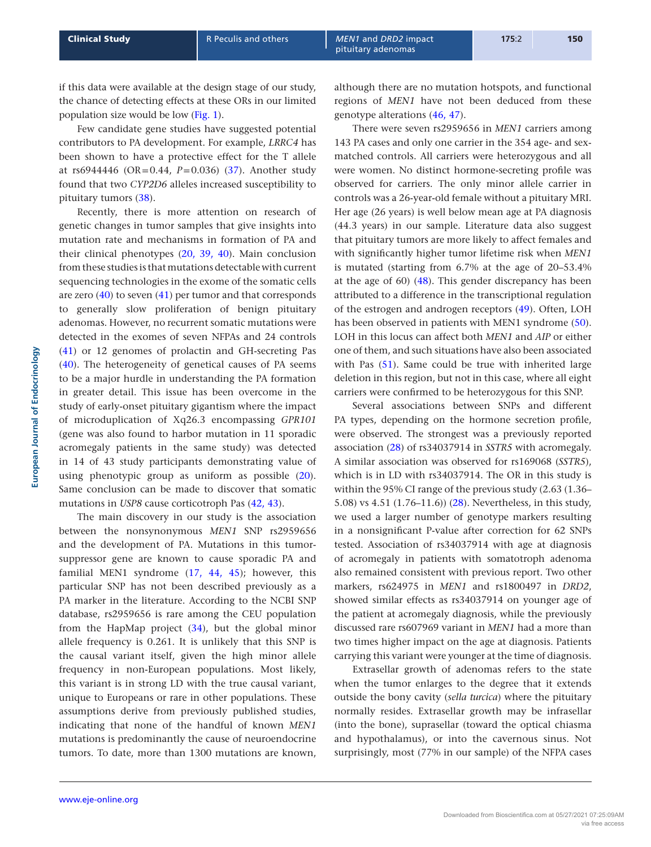if this data were available at the design stage of our study, the chance of detecting effects at these ORs in our limited population size would be low [\(Fig. 1](#page-3-0)).

Few candidate gene studies have suggested potential contributors to PA development. For example, *LRRC4* has been shown to have a protective effect for the T allele at rs6944446 (OR=0.44, *P*=0.036) [\(37\)](#page-7-31). Another study found that two *CYP2D6* alleles increased susceptibility to pituitary tumors ([38](#page-7-32)).

Recently, there is more attention on research of genetic changes in tumor samples that give insights into mutation rate and mechanisms in formation of PA and their clinical phenotypes ([20](#page-7-14), [39](#page-8-0), [40](#page-8-1)). Main conclusion from these studies is that mutations detectable with current sequencing technologies in the exome of the somatic cells are zero ([40](#page-8-1)) to seven [\(41\)](#page-8-2) per tumor and that corresponds to generally slow proliferation of benign pituitary adenomas. However, no recurrent somatic mutations were detected in the exomes of seven NFPAs and 24 controls [\(41\)](#page-8-2) or 12 genomes of prolactin and GH-secreting Pas [\(40\)](#page-8-1). The heterogeneity of genetical causes of PA seems to be a major hurdle in understanding the PA formation in greater detail. This issue has been overcome in the study of early-onset pituitary gigantism where the impact of microduplication of Xq26.3 encompassing *GPR101* (gene was also found to harbor mutation in 11 sporadic acromegaly patients in the same study) was detected in 14 of 43 study participants demonstrating value of using phenotypic group as uniform as possible [\(20](#page-7-14)). Same conclusion can be made to discover that somatic mutations in *USP8* cause corticotroph Pas ([42](#page-8-3), [43\)](#page-8-4).

The main discovery in our study is the association between the nonsynonymous *MEN1* SNP rs2959656 and the development of PA. Mutations in this tumorsuppressor gene are known to cause sporadic PA and familial MEN1 syndrome [\(17,](#page-7-11) [44,](#page-8-5) [45\)](#page-8-6); however, this particular SNP has not been described previously as a PA marker in the literature. According to the NCBI SNP database, rs2959656 is rare among the CEU population from the HapMap project [\(34\)](#page-7-28), but the global minor allele frequency is 0.261. It is unlikely that this SNP is the causal variant itself, given the high minor allele frequency in non-European populations. Most likely, this variant is in strong LD with the true causal variant, unique to Europeans or rare in other populations. These assumptions derive from previously published studies, indicating that none of the handful of known *MEN1* mutations is predominantly the cause of neuroendocrine tumors. To date, more than 1300 mutations are known,

although there are no mutation hotspots, and functional regions of *MEN1* have not been deduced from these genotype alterations ([46](#page-8-7), [47\)](#page-8-8).

There were seven rs2959656 in *MEN1* carriers among 143 PA cases and only one carrier in the 354 age- and sexmatched controls. All carriers were heterozygous and all were women. No distinct hormone-secreting profile was observed for carriers. The only minor allele carrier in controls was a 26-year-old female without a pituitary MRI. Her age (26 years) is well below mean age at PA diagnosis (44.3 years) in our sample. Literature data also suggest that pituitary tumors are more likely to affect females and with significantly higher tumor lifetime risk when *MEN1* is mutated (starting from 6.7% at the age of 20–53.4% at the age of 60) ([48](#page-8-9)). This gender discrepancy has been attributed to a difference in the transcriptional regulation of the estrogen and androgen receptors ([49\)](#page-8-10). Often, LOH has been observed in patients with MEN1 syndrome ([50](#page-8-11)). LOH in this locus can affect both *MEN1* and *AIP* or either one of them, and such situations have also been associated with Pas ([51\)](#page-8-12). Same could be true with inherited large deletion in this region, but not in this case, where all eight carriers were confirmed to be heterozygous for this SNP.

Several associations between SNPs and different PA types, depending on the hormone secretion profile, were observed. The strongest was a previously reported association [\(28](#page-7-22)) of rs34037914 in *SSTR5* with acromegaly. A similar association was observed for rs169068 (*SSTR5*), which is in LD with rs34037914. The OR in this study is within the 95% CI range of the previous study (2.63 (1.36– 5.08) vs 4.51 (1.76–11.6)) ([28](#page-7-22)). Nevertheless, in this study, we used a larger number of genotype markers resulting in a nonsignificant P-value after correction for 62 SNPs tested. Association of rs34037914 with age at diagnosis of acromegaly in patients with somatotroph adenoma also remained consistent with previous report. Two other markers, rs624975 in *MEN1* and rs1800497 in *DRD2*, showed similar effects as rs34037914 on younger age of the patient at acromegaly diagnosis, while the previously discussed rare rs607969 variant in *MEN1* had a more than two times higher impact on the age at diagnosis. Patients carrying this variant were younger at the time of diagnosis.

Extrasellar growth of adenomas refers to the state when the tumor enlarges to the degree that it extends outside the bony cavity (*sella turcica*) where the pituitary normally resides. Extrasellar growth may be infrasellar (into the bone), suprasellar (toward the optical chiasma and hypothalamus), or into the cavernous sinus. Not surprisingly, most (77% in our sample) of the NFPA cases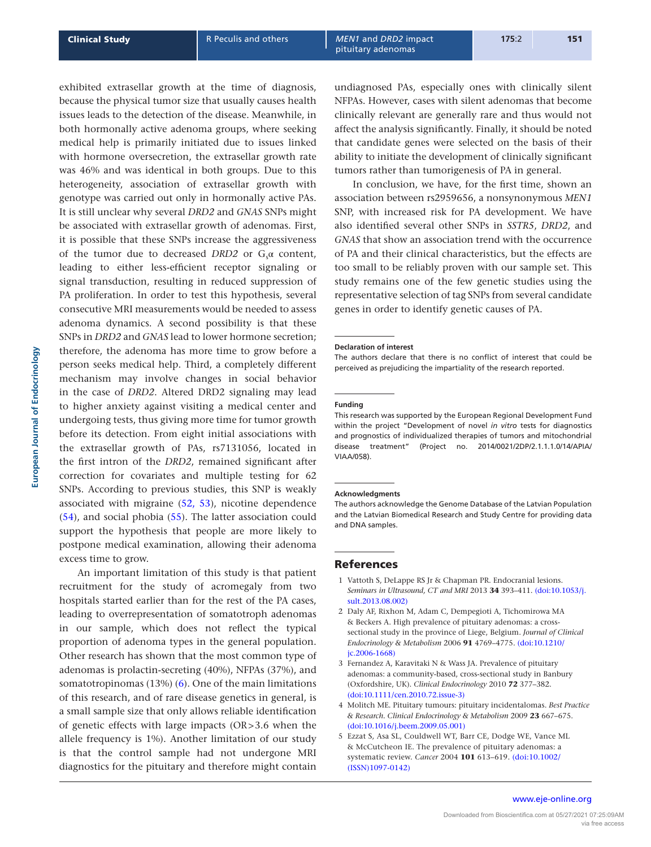exhibited extrasellar growth at the time of diagnosis, because the physical tumor size that usually causes health issues leads to the detection of the disease. Meanwhile, in both hormonally active adenoma groups, where seeking medical help is primarily initiated due to issues linked with hormone oversecretion, the extrasellar growth rate was 46% and was identical in both groups. Due to this heterogeneity, association of extrasellar growth with genotype was carried out only in hormonally active PAs. It is still unclear why several *DRD2* and *GNAS* SNPs might be associated with extrasellar growth of adenomas. First, it is possible that these SNPs increase the aggressiveness of the tumor due to decreased  $DRD2$  or  $G_{\alpha}$  content, leading to either less-efficient receptor signaling or signal transduction, resulting in reduced suppression of PA proliferation. In order to test this hypothesis, several consecutive MRI measurements would be needed to assess adenoma dynamics. A second possibility is that these SNPs in *DRD2* and *GNAS* lead to lower hormone secretion; therefore, the adenoma has more time to grow before a person seeks medical help. Third, a completely different mechanism may involve changes in social behavior in the case of *DRD2*. Altered DRD2 signaling may lead to higher anxiety against visiting a medical center and undergoing tests, thus giving more time for tumor growth before its detection. From eight initial associations with the extrasellar growth of PAs, rs7131056, located in the first intron of the *DRD2*, remained significant after correction for covariates and multiple testing for 62 SNPs. According to previous studies, this SNP is weakly associated with migraine ([52](#page-8-13), [53](#page-8-14)), nicotine dependence ([54\)](#page-8-15), and social phobia ([55](#page-8-16)). The latter association could support the hypothesis that people are more likely to postpone medical examination, allowing their adenoma excess time to grow.

An important limitation of this study is that patient recruitment for the study of acromegaly from two hospitals started earlier than for the rest of the PA cases, leading to overrepresentation of somatotroph adenomas in our sample, which does not reflect the typical proportion of adenoma types in the general population. Other research has shown that the most common type of adenomas is prolactin-secreting (40%), NFPAs (37%), and somatotropinomas (13%) [\(6](#page-7-0)). One of the main limitations of this research, and of rare disease genetics in general, is a small sample size that only allows reliable identification of genetic effects with large impacts (OR>3.6 when the allele frequency is 1%). Another limitation of our study is that the control sample had not undergone MRI diagnostics for the pituitary and therefore might contain undiagnosed PAs, especially ones with clinically silent NFPAs. However, cases with silent adenomas that become clinically relevant are generally rare and thus would not affect the analysis significantly. Finally, it should be noted that candidate genes were selected on the basis of their ability to initiate the development of clinically significant tumors rather than tumorigenesis of PA in general.

In conclusion, we have, for the first time, shown an association between rs2959656, a nonsynonymous *MEN1* SNP, with increased risk for PA development. We have also identified several other SNPs in *SSTR5*, *DRD2*, and *GNAS* that show an association trend with the occurrence of PA and their clinical characteristics, but the effects are too small to be reliably proven with our sample set. This study remains one of the few genetic studies using the representative selection of tag SNPs from several candidate genes in order to identify genetic causes of PA.

#### **Declaration of interest**

The authors declare that there is no conflict of interest that could be perceived as prejudicing the impartiality of the research reported.

#### **Funding**

This research was supported by the European Regional Development Fund within the project "Development of novel *in vitro* tests for diagnostics and prognostics of individualized therapies of tumors and mitochondrial disease treatment" (Project no. 2014/0021/2DP/2.1.1.1.0/14/APIA/ VIAA/058).

#### **Acknowledgments**

The authors acknowledge the Genome Database of the Latvian Population and the Latvian Biomedical Research and Study Centre for providing data and DNA samples.

#### References

- <span id="page-6-0"></span>1 Vattoth S, DeLappe RS Jr & Chapman PR. Endocranial lesions. *Seminars in Ultrasound, CT and MRI* 2013 **34** 393–411. [\(doi:10.1053/j.](http://dx.doi.org/10.1053/j.sult.2013.08.002) [sult.2013.08.002\)](http://dx.doi.org/10.1053/j.sult.2013.08.002)
- <span id="page-6-1"></span>2 Daly AF, Rixhon M, Adam C, Dempegioti A, Tichomirowa MA & Beckers A. High prevalence of pituitary adenomas: a crosssectional study in the province of Liege, Belgium. *Journal of Clinical Endocrinology & Metabolism* 2006 **91** 4769–4775. [\(doi:10.1210/](http://dx.doi.org/10.1210/jc.2006-1668) [jc.2006-1668\)](http://dx.doi.org/10.1210/jc.2006-1668)
- <span id="page-6-2"></span>3 Fernandez A, Karavitaki N & Wass JA. Prevalence of pituitary adenomas: a community-based, cross-sectional study in Banbury (Oxfordshire, UK). *Clinical Endocrinology* 2010 **72** 377–382. [\(doi:10.1111/cen.2010.72.issue-3\)](http://dx.doi.org/10.1111/cen.2010.72.issue-3)
- <span id="page-6-3"></span>4 Molitch ME. Pituitary tumours: pituitary incidentalomas. *Best Practice & Research. Clinical Endocrinology & Metabolism* 2009 **23** 667–675. [\(doi:10.1016/j.beem.2009.05.001\)](http://dx.doi.org/10.1016/j.beem.2009.05.001)
- <span id="page-6-4"></span>5 Ezzat S, Asa SL, Couldwell WT, Barr CE, Dodge WE, Vance ML & McCutcheon IE. The prevalence of pituitary adenomas: a systematic review. *Cancer* 2004 **101** 613–619. [\(doi:10.1002/](http://dx.doi.org/10.1002/(ISSN)1097-0142) [\(ISSN\)1097-0142\)](http://dx.doi.org/10.1002/(ISSN)1097-0142)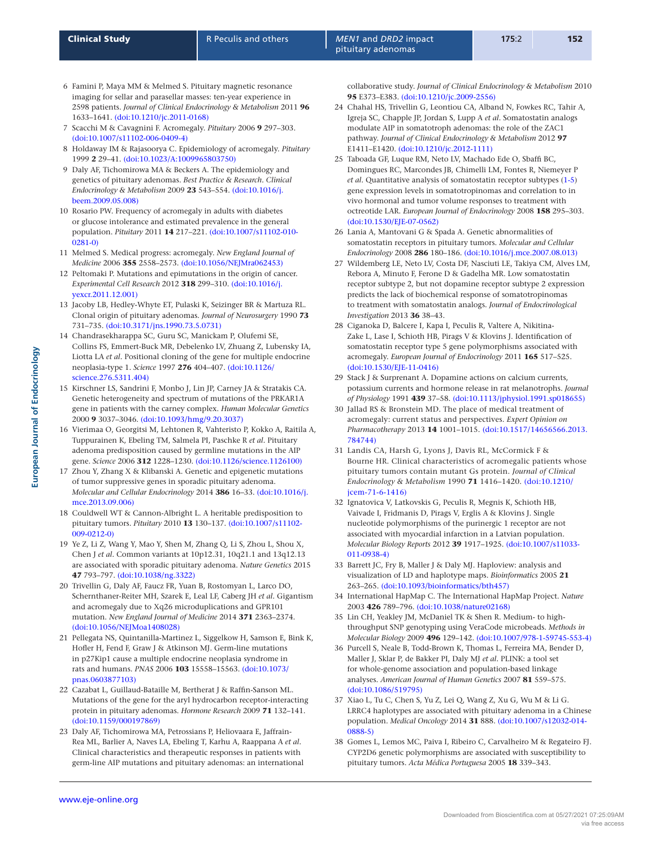- <span id="page-7-0"></span>6 Famini P, Maya MM & Melmed S. Pituitary magnetic resonance imaging for sellar and parasellar masses: ten-year experience in 2598 patients. *Journal of Clinical Endocrinology & Metabolism* 2011 **96** 1633–1641. [\(doi:10.1210/jc.2011-0168\)](http://dx.doi.org/10.1210/jc.2011-0168)
- <span id="page-7-1"></span>7 Scacchi M & Cavagnini F. Acromegaly. *Pituitary* 2006 **9** 297–303. [\(doi:10.1007/s11102-006-0409-4\)](http://dx.doi.org/10.1007/s11102-006-0409-4)
- <span id="page-7-2"></span>8 Holdaway IM & Rajasoorya C. Epidemiology of acromegaly. *Pituitary* 1999 **2** 29–41. [\(doi:10.1023/A:1009965803750\)](http://dx.doi.org/10.1023/A:1009965803750)
- <span id="page-7-3"></span>9 Daly AF, Tichomirowa MA & Beckers A. The epidemiology and genetics of pituitary adenomas. *Best Practice & Research. Clinical Endocrinology & Metabolism* 2009 **23** 543–554. [\(doi:10.1016/j.](http://dx.doi.org/10.1016/j.beem.2009.05.008) [beem.2009.05.008\)](http://dx.doi.org/10.1016/j.beem.2009.05.008)
- <span id="page-7-4"></span>10 Rosario PW. Frequency of acromegaly in adults with diabetes or glucose intolerance and estimated prevalence in the general population. *Pituitary* 2011 **14** 217–221. [\(doi:10.1007/s11102-010-](http://dx.doi.org/10.1007/s11102-010-0281-0) [0281-0\)](http://dx.doi.org/10.1007/s11102-010-0281-0)
- <span id="page-7-5"></span>11 Melmed S. Medical progress: acromegaly. *New England Journal of Medicine* 2006 **355** 2558–2573. [\(doi:10.1056/NEJMra062453\)](http://dx.doi.org/10.1056/NEJMra062453)
- <span id="page-7-6"></span>12 Peltomaki P. Mutations and epimutations in the origin of cancer. *Experimental Cell Research* 2012 **318** 299–310. [\(doi:10.1016/j.](http://dx.doi.org/10.1016/j.yexcr.2011.12.001) [yexcr.2011.12.001\)](http://dx.doi.org/10.1016/j.yexcr.2011.12.001)
- <span id="page-7-7"></span>13 Jacoby LB, Hedley-Whyte ET, Pulaski K, Seizinger BR & Martuza RL. Clonal origin of pituitary adenomas. *Journal of Neurosurgery* 1990 **73** 731–735. [\(doi:10.3171/jns.1990.73.5.0731\)](http://dx.doi.org/10.3171/jns.1990.73.5.0731)
- <span id="page-7-8"></span>14 Chandrasekharappa SC, Guru SC, Manickam P, Olufemi SE, Collins FS, Emmert-Buck MR, Debelenko LV, Zhuang Z, Lubensky IA, Liotta LA *et al.* Positional cloning of the gene for multiple endocrine neoplasia-type 1. *Science* 1997 **276** 404–407. [\(doi:10.1126/](http://dx.doi.org/10.1126/science.276.5311.404) [science.276.5311.404\)](http://dx.doi.org/10.1126/science.276.5311.404)
- <span id="page-7-9"></span>15 Kirschner LS, Sandrini F, Monbo J, Lin JP, Carney JA & Stratakis CA. Genetic heterogeneity and spectrum of mutations of the PRKAR1A gene in patients with the carney complex. *Human Molecular Genetics* 2000 **9** 3037–3046. [\(doi:10.1093/hmg/9.20.3037\)](http://dx.doi.org/10.1093/hmg/9.20.3037)
- <span id="page-7-10"></span>16 Vierimaa O, Georgitsi M, Lehtonen R, Vahteristo P, Kokko A, Raitila A, Tuppurainen K, Ebeling TM, Salmela PI, Paschke R *et al.* Pituitary adenoma predisposition caused by germline mutations in the AIP gene. *Science* 2006 **312** 1228–1230. [\(doi:10.1126/science.1126100\)](http://dx.doi.org/10.1126/science.1126100)
- <span id="page-7-11"></span>17 Zhou Y, Zhang X & Klibanski A. Genetic and epigenetic mutations of tumor suppressive genes in sporadic pituitary adenoma. *Molecular and Cellular Endocrinology* 2014 **386** 16–33. [\(doi:10.1016/j.](http://dx.doi.org/10.1016/j.mce.2013.09.006) [mce.2013.09.006\)](http://dx.doi.org/10.1016/j.mce.2013.09.006)
- <span id="page-7-12"></span>18 Couldwell WT & Cannon-Albright L. A heritable predisposition to pituitary tumors. *Pituitary* 2010 **13** 130–137. [\(doi:10.1007/s11102-](http://dx.doi.org/10.1007/s11102-009-0212-0) [009-0212-0\)](http://dx.doi.org/10.1007/s11102-009-0212-0)
- <span id="page-7-13"></span>19 Ye Z, Li Z, Wang Y, Mao Y, Shen M, Zhang Q, Li S, Zhou L, Shou X, Chen J *et al.* Common variants at 10p12.31, 10q21.1 and 13q12.13 are associated with sporadic pituitary adenoma. *Nature Genetics* 2015 **47** 793–797. [\(doi:10.1038/ng.3322\)](http://dx.doi.org/10.1038/ng.3322)
- <span id="page-7-14"></span>20 Trivellin G, Daly AF, Faucz FR, Yuan B, Rostomyan L, Larco DO, Schernthaner-Reiter MH, Szarek E, Leal LF, Caberg JH *et al.* Gigantism and acromegaly due to Xq26 microduplications and GPR101 mutation. *New England Journal of Medicine* 2014 **371** 2363–2374. [\(doi:10.1056/NEJMoa1408028\)](http://dx.doi.org/10.1056/NEJMoa1408028)
- <span id="page-7-15"></span>21 Pellegata NS, Quintanilla-Martinez L, Siggelkow H, Samson E, Bink K, Hofler H, Fend F, Graw J & Atkinson MJ. Germ-line mutations in p27Kip1 cause a multiple endocrine neoplasia syndrome in rats and humans. *PNAS* 2006 **103** 15558–15563. [\(doi:10.1073/](http://dx.doi.org/10.1073/pnas.0603877103) [pnas.0603877103\)](http://dx.doi.org/10.1073/pnas.0603877103)
- <span id="page-7-16"></span>22 Cazabat L, Guillaud-Bataille M, Bertherat J & Raffin-Sanson ML. Mutations of the gene for the aryl hydrocarbon receptor-interacting protein in pituitary adenomas. *Hormone Research* 2009 **71** 132–141. [\(doi:10.1159/000197869\)](http://dx.doi.org/10.1159/000197869)
- <span id="page-7-17"></span>23 Daly AF, Tichomirowa MA, Petrossians P, Heliovaara E, Jaffrain-Rea ML, Barlier A, Naves LA, Ebeling T, Karhu A, Raappana A *et al.* Clinical characteristics and therapeutic responses in patients with germ-line AIP mutations and pituitary adenomas: an international

collaborative study. *Journal of Clinical Endocrinology & Metabolism* 2010 **95** E373–E383. [\(doi:10.1210/jc.2009-2556\)](http://dx.doi.org/10.1210/jc.2009-2556)

- <span id="page-7-18"></span>24 Chahal HS, Trivellin G, Leontiou CA, Alband N, Fowkes RC, Tahir A, Igreja SC, Chapple JP, Jordan S, Lupp A *et al.* Somatostatin analogs modulate AIP in somatotroph adenomas: the role of the ZAC1 pathway. *Journal of Clinical Endocrinology & Metabolism* 2012 **97** E1411–E1420. [\(doi:10.1210/jc.2012-1111\)](http://dx.doi.org/10.1210/jc.2012-1111)
- <span id="page-7-19"></span>25 Taboada GF, Luque RM, Neto LV, Machado Ede O, Sbaffi BC, Domingues RC, Marcondes JB, Chimelli LM, Fontes R, Niemeyer P *et al.* Quantitative analysis of somatostatin receptor subtypes ([1-](#page-6-0)[5](#page-6-4)) gene expression levels in somatotropinomas and correlation to in vivo hormonal and tumor volume responses to treatment with octreotide LAR. *European Journal of Endocrinology* 2008 **158** 295–303. [\(doi:10.1530/EJE-07-0562\)](http://dx.doi.org/10.1530/EJE-07-0562)
- <span id="page-7-20"></span>26 Lania A, Mantovani G & Spada A. Genetic abnormalities of somatostatin receptors in pituitary tumors. *Molecular and Cellular Endocrinology* 2008 **286** 180–186. [\(doi:10.1016/j.mce.2007.08.013\)](http://dx.doi.org/10.1016/j.mce.2007.08.013)
- <span id="page-7-21"></span>27 Wildemberg LE, Neto LV, Costa DF, Nasciuti LE, Takiya CM, Alves LM, Rebora A, Minuto F, Ferone D & Gadelha MR. Low somatostatin receptor subtype 2, but not dopamine receptor subtype 2 expression predicts the lack of biochemical response of somatotropinomas to treatment with somatostatin analogs. *Journal of Endocrinological Investigation* 2013 **36** 38–43.
- <span id="page-7-22"></span>28 Ciganoka D, Balcere I, Kapa I, Peculis R, Valtere A, Nikitina-Zake L, Lase I, Schioth HB, Pirags V & Klovins J. Identification of somatostatin receptor type 5 gene polymorphisms associated with acromegaly. *European Journal of Endocrinology* 2011 **165** 517–525. [\(doi:10.1530/EJE-11-0416\)](http://dx.doi.org/10.1530/EJE-11-0416)
- <span id="page-7-23"></span>29 Stack J & Surprenant A. Dopamine actions on calcium currents, potassium currents and hormone release in rat melanotrophs. *Journal of Physiology* 1991 **439** 37–58. [\(doi:10.1113/jphysiol.1991.sp018655\)](http://dx.doi.org/10.1113/jphysiol.1991.sp018655)
- <span id="page-7-24"></span>30 Jallad RS & Bronstein MD. The place of medical treatment of acromegaly: current status and perspectives. *Expert Opinion on Pharmacotherapy* 2013 **14** 1001–1015. [\(doi:10.1517/14656566.2013.](http://dx.doi.org/10.1517/14656566.2013.784744) [784744\)](http://dx.doi.org/10.1517/14656566.2013.784744)
- <span id="page-7-25"></span>31 Landis CA, Harsh G, Lyons J, Davis RL, McCormick F & Bourne HR. Clinical characteristics of acromegalic patients whose pituitary tumors contain mutant Gs protein. *Journal of Clinical Endocrinology & Metabolism* 1990 **71** 1416–1420. [\(doi:10.1210/](http://dx.doi.org/10.1210/jcem-71-6-1416) [jcem-71-6-1416\)](http://dx.doi.org/10.1210/jcem-71-6-1416)
- <span id="page-7-26"></span>32 Ignatovica V, Latkovskis G, Peculis R, Megnis K, Schioth HB, Vaivade I, Fridmanis D, Pirags V, Erglis A & Klovins J. Single nucleotide polymorphisms of the purinergic 1 receptor are not associated with myocardial infarction in a Latvian population. *Molecular Biology Reports* 2012 **39** 1917–1925. [\(doi:10.1007/s11033-](http://dx.doi.org/10.1007/s11033-011-0938-4) [011-0938-4\)](http://dx.doi.org/10.1007/s11033-011-0938-4)
- <span id="page-7-27"></span>33 Barrett JC, Fry B, Maller J & Daly MJ. Haploview: analysis and visualization of LD and haplotype maps. *Bioinformatics* 2005 **21** 263–265. [\(doi:10.1093/bioinformatics/bth457\)](http://dx.doi.org/10.1093/bioinformatics/bth457)
- <span id="page-7-28"></span>34 International HapMap C. The International HapMap Project. *Nature* 2003 **426** 789–796. [\(doi:10.1038/nature02168\)](http://dx.doi.org/10.1038/nature02168)
- <span id="page-7-29"></span>35 Lin CH, Yeakley JM, McDaniel TK & Shen R. Medium- to highthroughput SNP genotyping using VeraCode microbeads. *Methods in Molecular Biology* 2009 **496** 129–142. [\(doi:10.1007/978-1-59745-553-4\)](http://dx.doi.org/10.1007/978-1-59745-553-4)
- <span id="page-7-30"></span>36 Purcell S, Neale B, Todd-Brown K, Thomas L, Ferreira MA, Bender D, Maller J, Sklar P, de Bakker PI, Daly MJ *et al.* PLINK: a tool set for whole-genome association and population-based linkage analyses. *American Journal of Human Genetics* 2007 **81** 559–575. [\(doi:10.1086/519795\)](http://dx.doi.org/10.1086/519795)
- <span id="page-7-31"></span>37 Xiao L, Tu C, Chen S, Yu Z, Lei Q, Wang Z, Xu G, Wu M & Li G. LRRC4 haplotypes are associated with pituitary adenoma in a Chinese population. *Medical Oncology* 2014 **31** 888. [\(doi:10.1007/s12032-014-](http://dx.doi.org/10.1007/s12032-014-0888-5) [0888-5\)](http://dx.doi.org/10.1007/s12032-014-0888-5)
- <span id="page-7-32"></span>38 Gomes L, Lemos MC, Paiva I, Ribeiro C, Carvalheiro M & Regateiro FJ. CYP2D6 genetic polymorphisms are associated with susceptibility to pituitary tumors. *Acta Médica Portuguesa* 2005 **18** 339–343.